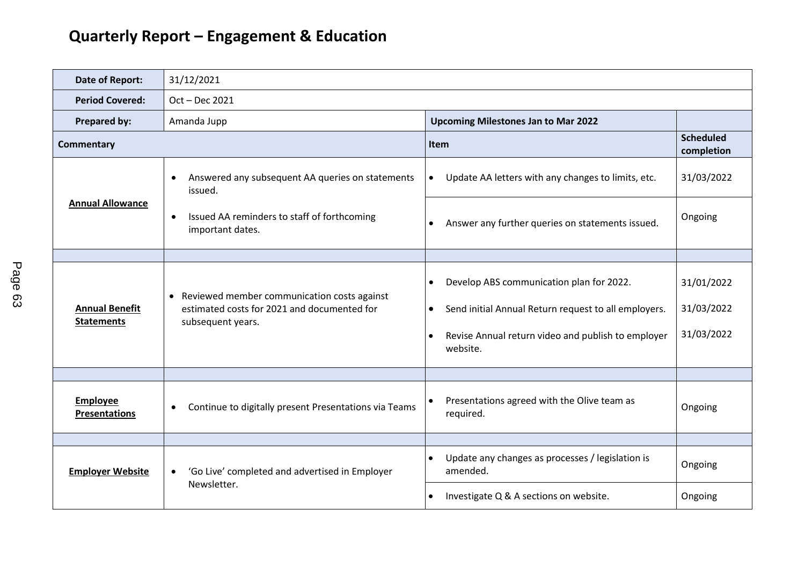| Date of Report:                            | 31/12/2021                                                                                                                                  |                                                                                                                                                                                                           |                                        |  |
|--------------------------------------------|---------------------------------------------------------------------------------------------------------------------------------------------|-----------------------------------------------------------------------------------------------------------------------------------------------------------------------------------------------------------|----------------------------------------|--|
| <b>Period Covered:</b>                     | Oct - Dec 2021                                                                                                                              |                                                                                                                                                                                                           |                                        |  |
| Prepared by:                               | Amanda Jupp                                                                                                                                 | <b>Upcoming Milestones Jan to Mar 2022</b>                                                                                                                                                                |                                        |  |
| <b>Commentary</b>                          |                                                                                                                                             | <b>Item</b>                                                                                                                                                                                               | <b>Scheduled</b><br>completion         |  |
| <b>Annual Allowance</b>                    | Answered any subsequent AA queries on statements<br>issued.<br>Issued AA reminders to staff of forthcoming<br>$\bullet$<br>important dates. | Update AA letters with any changes to limits, etc.<br>$\bullet$                                                                                                                                           | 31/03/2022                             |  |
|                                            |                                                                                                                                             | Answer any further queries on statements issued.<br>$\bullet$                                                                                                                                             | Ongoing                                |  |
|                                            |                                                                                                                                             |                                                                                                                                                                                                           |                                        |  |
| <b>Annual Benefit</b><br><b>Statements</b> | • Reviewed member communication costs against<br>estimated costs for 2021 and documented for<br>subsequent years.                           | Develop ABS communication plan for 2022.<br>$\bullet$<br>Send initial Annual Return request to all employers.<br>$\bullet$<br>Revise Annual return video and publish to employer<br>$\bullet$<br>website. | 31/01/2022<br>31/03/2022<br>31/03/2022 |  |
|                                            |                                                                                                                                             |                                                                                                                                                                                                           |                                        |  |
| <b>Employee</b><br><b>Presentations</b>    | Continue to digitally present Presentations via Teams<br>$\bullet$                                                                          | Presentations agreed with the Olive team as<br>$\bullet$<br>required.                                                                                                                                     | Ongoing                                |  |
|                                            |                                                                                                                                             |                                                                                                                                                                                                           |                                        |  |
| <b>Employer Website</b>                    | 'Go Live' completed and advertised in Employer<br>$\bullet$<br>Newsletter.                                                                  | Update any changes as processes / legislation is<br>$\bullet$<br>amended.                                                                                                                                 | Ongoing                                |  |
|                                            |                                                                                                                                             | Investigate Q & A sections on website.<br>$\bullet$                                                                                                                                                       | Ongoing                                |  |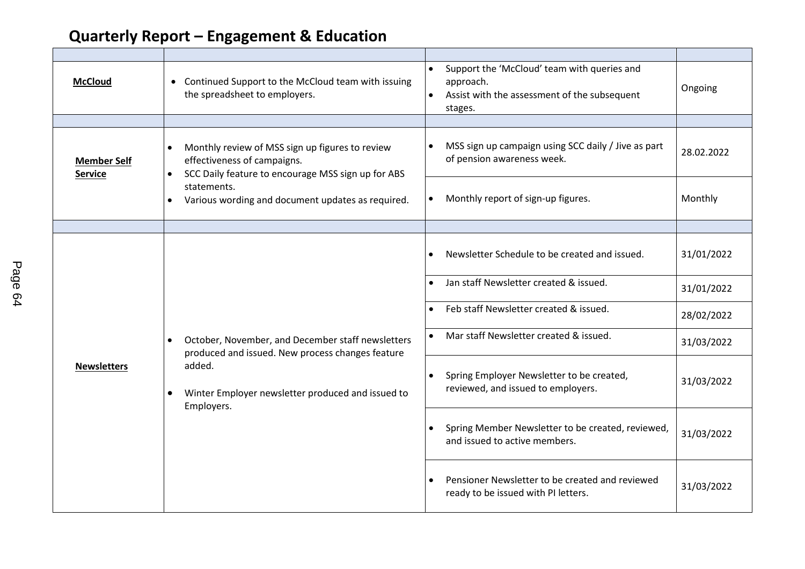| <b>McCloud</b>                       | • Continued Support to the McCloud team with issuing<br>the spreadsheet to employers.                                                                                                                                                           | Support the 'McCloud' team with queries and<br>$\bullet$<br>approach.<br>Assist with the assessment of the subsequent<br>stages. | Ongoing    |
|--------------------------------------|-------------------------------------------------------------------------------------------------------------------------------------------------------------------------------------------------------------------------------------------------|----------------------------------------------------------------------------------------------------------------------------------|------------|
|                                      |                                                                                                                                                                                                                                                 |                                                                                                                                  |            |
| <b>Member Self</b><br><b>Service</b> | Monthly review of MSS sign up figures to review<br>$\bullet$<br>effectiveness of campaigns.<br>SCC Daily feature to encourage MSS sign up for ABS<br>$\bullet$<br>statements.<br>Various wording and document updates as required.<br>$\bullet$ | MSS sign up campaign using SCC daily / Jive as part<br>of pension awareness week.                                                | 28.02.2022 |
|                                      |                                                                                                                                                                                                                                                 | Monthly report of sign-up figures.<br>$\bullet$                                                                                  | Monthly    |
|                                      |                                                                                                                                                                                                                                                 |                                                                                                                                  |            |
| <b>Newsletters</b>                   | October, November, and December staff newsletters<br>$\bullet$<br>produced and issued. New process changes feature<br>added.<br>Winter Employer newsletter produced and issued to<br>$\bullet$<br>Employers.                                    | Newsletter Schedule to be created and issued.                                                                                    | 31/01/2022 |
|                                      |                                                                                                                                                                                                                                                 | Jan staff Newsletter created & issued.                                                                                           | 31/01/2022 |
|                                      |                                                                                                                                                                                                                                                 | Feb staff Newsletter created & issued.                                                                                           | 28/02/2022 |
|                                      |                                                                                                                                                                                                                                                 | Mar staff Newsletter created & issued.                                                                                           | 31/03/2022 |
|                                      |                                                                                                                                                                                                                                                 | Spring Employer Newsletter to be created,<br>$\bullet$<br>reviewed, and issued to employers.                                     | 31/03/2022 |
|                                      |                                                                                                                                                                                                                                                 | Spring Member Newsletter to be created, reviewed,<br>and issued to active members.                                               | 31/03/2022 |
|                                      |                                                                                                                                                                                                                                                 | Pensioner Newsletter to be created and reviewed<br>ready to be issued with PI letters.                                           | 31/03/2022 |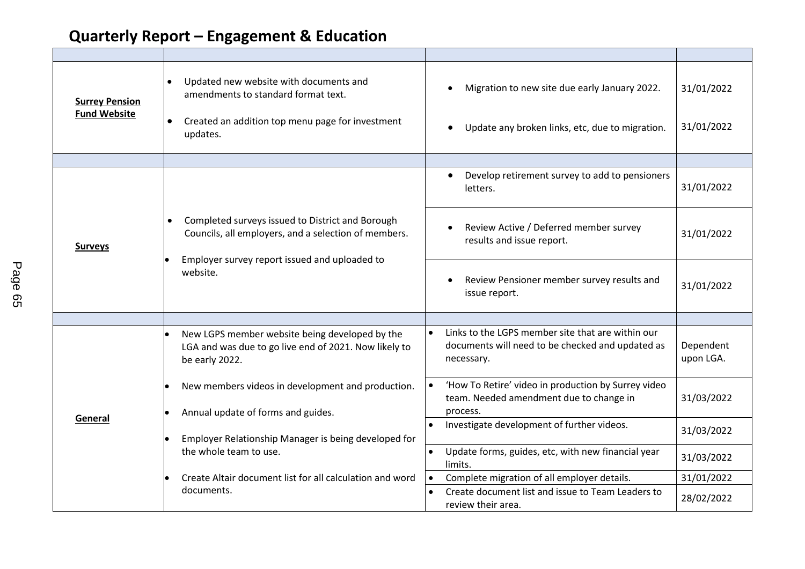| <b>Surrey Pension</b><br><b>Fund Website</b> | Updated new website with documents and<br>$\bullet$<br>amendments to standard format text.<br>Created an addition top menu page for investment<br>$\bullet$<br>updates.            | Migration to new site due early January 2022.<br>Update any broken links, etc, due to migration.                                 | 31/01/2022<br>31/01/2022 |
|----------------------------------------------|------------------------------------------------------------------------------------------------------------------------------------------------------------------------------------|----------------------------------------------------------------------------------------------------------------------------------|--------------------------|
|                                              |                                                                                                                                                                                    |                                                                                                                                  |                          |
| <b>Surveys</b>                               | Completed surveys issued to District and Borough<br>$\bullet$<br>Councils, all employers, and a selection of members.<br>Employer survey report issued and uploaded to<br>website. | Develop retirement survey to add to pensioners<br>letters.                                                                       | 31/01/2022               |
|                                              |                                                                                                                                                                                    | Review Active / Deferred member survey<br>results and issue report.                                                              | 31/01/2022               |
|                                              |                                                                                                                                                                                    | Review Pensioner member survey results and<br>issue report.                                                                      | 31/01/2022               |
|                                              |                                                                                                                                                                                    |                                                                                                                                  |                          |
| General                                      | New LGPS member website being developed by the<br>LGA and was due to go live end of 2021. Now likely to<br>be early 2022.                                                          | Links to the LGPS member site that are within our<br>$\bullet$<br>documents will need to be checked and updated as<br>necessary. | Dependent<br>upon LGA.   |
|                                              | New members videos in development and production.<br>Annual update of forms and guides.                                                                                            | 'How To Retire' video in production by Surrey video<br>team. Needed amendment due to change in<br>process.                       | 31/03/2022               |
|                                              | Employer Relationship Manager is being developed for<br>the whole team to use.                                                                                                     | Investigate development of further videos.                                                                                       | 31/03/2022               |
|                                              |                                                                                                                                                                                    | Update forms, guides, etc, with new financial year<br>$\bullet$<br>limits.                                                       | 31/03/2022               |
|                                              | Create Altair document list for all calculation and word                                                                                                                           | Complete migration of all employer details.<br>$\bullet$                                                                         | 31/01/2022               |
|                                              | documents.                                                                                                                                                                         | Create document list and issue to Team Leaders to<br>review their area.                                                          | 28/02/2022               |